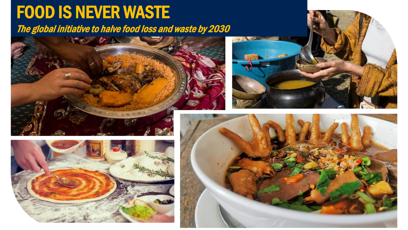## FOOD IS NEVER WASTE

The global initiative to halve food loss and waste by 2030







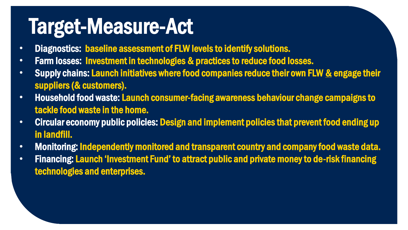## Target-Measure-Act

- Diagnostics: baseline assessment of FLW levels to identify solutions.
- Farm losses: Investment in technologies & practices to reduce food losses.
- Supply chains: Launch initiatives where food companies reduce their own FLW & engage their suppliers (& customers).
- Household food waste: Launch consumer-facing awareness behaviour change campaigns to tackle food waste in the home.
- Circular economy public policies: Design and implement policies that prevent food ending up in landfill.
- Monitoring: Independently monitored and transparent country and company food waste data.
- Financing: Launch 'Investment Fund' to attract public and private money to de-risk financing technologies and enterprises.